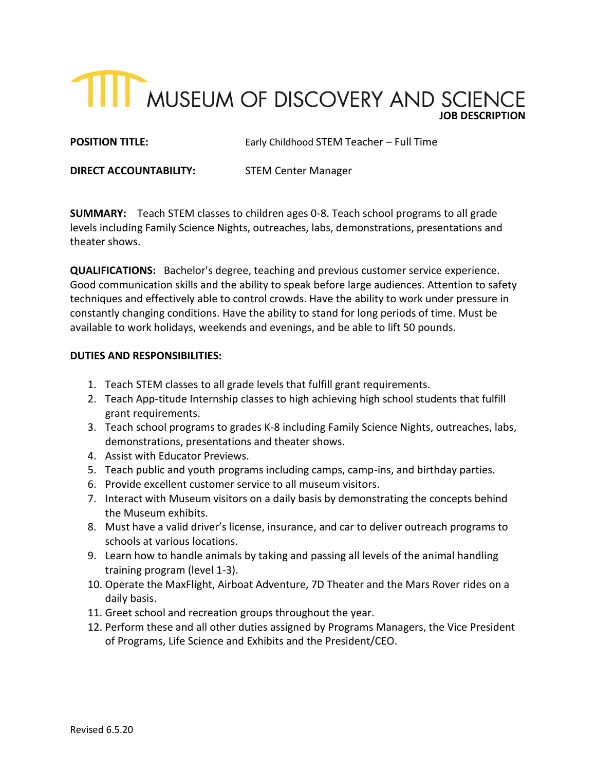# **TILE MUSEUM OF DISCOVERY AND SCIENCE**

**POSITION TITLE:** Early Childhood STEM Teacher – Full Time

**DIRECT ACCOUNTABILITY:** STEM Center Manager

**SUMMARY:** Teach STEM classes to children ages 0-8. Teach school programs to all grade levels including Family Science Nights, outreaches, labs, demonstrations, presentations and theater shows.

**QUALIFICATIONS:** Bachelor's degree, teaching and previous customer service experience. Good communication skills and the ability to speak before large audiences. Attention to safety techniques and effectively able to control crowds. Have the ability to work under pressure in constantly changing conditions. Have the ability to stand for long periods of time. Must be available to work holidays, weekends and evenings, and be able to lift 50 pounds.

### **DUTIES AND RESPONSIBILITIES:**

- 1. Teach STEM classes to all grade levels that fulfill grant requirements.
- 2. Teach App-titude Internship classes to high achieving high school students that fulfill grant requirements.
- 3. Teach school programs to grades K-8 including Family Science Nights, outreaches, labs, demonstrations, presentations and theater shows.
- 4. Assist with Educator Previews.
- 5. Teach public and youth programs including camps, camp-ins, and birthday parties.
- 6. Provide excellent customer service to all museum visitors.
- 7. Interact with Museum visitors on a daily basis by demonstrating the concepts behind the Museum exhibits.
- 8. Must have a valid driver's license, insurance, and car to deliver outreach programs to schools at various locations.
- 9. Learn how to handle animals by taking and passing all levels of the animal handling training program (level 1-3).
- 10. Operate the MaxFlight, Airboat Adventure, 7D Theater and the Mars Rover rides on a daily basis.
- 11. Greet school and recreation groups throughout the year.
- 12. Perform these and all other duties assigned by Programs Managers, the Vice President of Programs, Life Science and Exhibits and the President/CEO.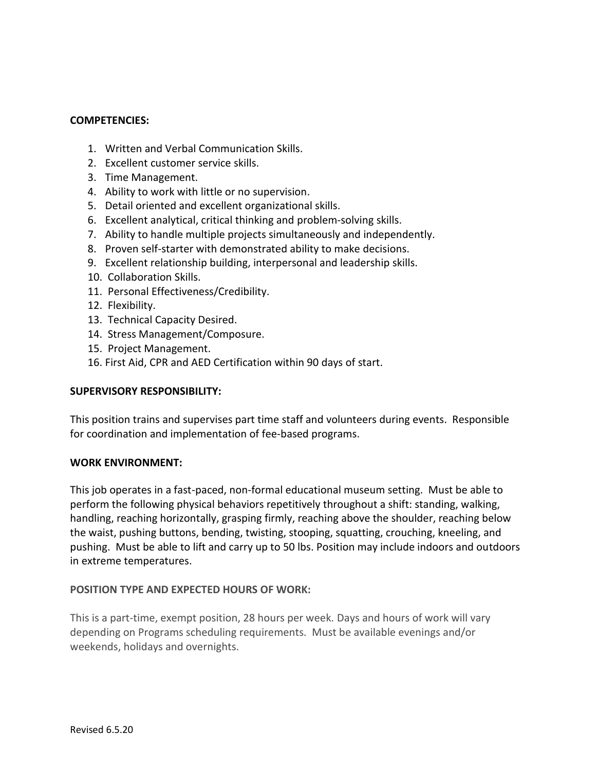# **COMPETENCIES:**

- 1. Written and Verbal Communication Skills.
- 2. Excellent customer service skills.
- 3. Time Management.
- 4. Ability to work with little or no supervision.
- 5. Detail oriented and excellent organizational skills.
- 6. Excellent analytical, critical thinking and problem-solving skills.
- 7. Ability to handle multiple projects simultaneously and independently.
- 8. Proven self-starter with demonstrated ability to make decisions.
- 9. Excellent relationship building, interpersonal and leadership skills.
- 10. Collaboration Skills.
- 11. Personal Effectiveness/Credibility.
- 12. Flexibility.
- 13. Technical Capacity Desired.
- 14. Stress Management/Composure.
- 15. Project Management.
- 16. First Aid, CPR and AED Certification within 90 days of start.

# **SUPERVISORY RESPONSIBILITY:**

This position trains and supervises part time staff and volunteers during events. Responsible for coordination and implementation of fee-based programs.

#### **WORK ENVIRONMENT:**

This job operates in a fast-paced, non-formal educational museum setting. Must be able to perform the following physical behaviors repetitively throughout a shift: standing, walking, handling, reaching horizontally, grasping firmly, reaching above the shoulder, reaching below the waist, pushing buttons, bending, twisting, stooping, squatting, crouching, kneeling, and pushing. Must be able to lift and carry up to 50 lbs. Position may include indoors and outdoors in extreme temperatures.

# **POSITION TYPE AND EXPECTED HOURS OF WORK:**

This is a part-time, exempt position, 28 hours per week. Days and hours of work will vary depending on Programs scheduling requirements. Must be available evenings and/or weekends, holidays and overnights.